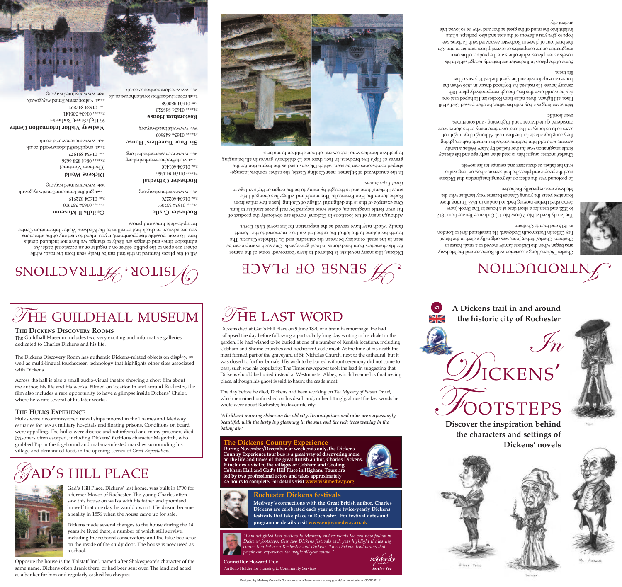



Gad's Hill Place, Dickens' last home, was built in 1790 for a former Mayor of Rochester. The young Charles often saw this house on walks with his father and promised himself that one day he would own it. His dream became a reality in 1856 when the house came up for sale.

Dickens made several changes to the house during the 14 years he lived there, a number of which still survive, including the restored conservatory and the false bookcase on the inside of the study door. The house is now used as a school.



**Rochester Dickens festivals** Medway's connections with the Great British author, Charles Dickens are celebrated each year at the twice-yearly Dickens festivals that take place in Rochester. For festival dates and programme details visit www.enjoymedway.co.uk







I am delighted that visitors to Medway and residents too can now follow in Dickens' footsteps. Our two Dickens festivals each year highlight the lasting connection between Rochester and Dickens. This Dickens trail means that



**Councillor Howard Doe** 

Portfolio Holder for Housing & Community Services



people can experience the magic all-year round."

Designed by Medway Council's Communications Team. www.medway.gov.uk/communications G6203 01 11





'A brilliant morning shines on the old city. Its antiquities and ruins are surpassingly beautiful, with the lusty ivy gleaming in the sun, and the rich trees waving in the balmy air.'

The day before he died, Dickens had been working on The Mystery of Edwin Drood, which remained unfinished on his death and, rather fittingly, almost the last words he wrote were about Rochester, his favourite city:

moat formed part of the graveyard of St. Nicholas Church, next to the cathedral, but it was closed to further burials. His wish to be buried without ceremony did not come to pass, such was his popularity. The Times newspaper took the lead in suggesting that Dickens should be buried instead at Westminster Abbey, which became his final resting place, although his ghost is said to haunt the castle moat.

Dickens died at Gad's Hill Place on 9 June 1870 of a brain haemorrhage. He had

collapsed the day before following a particularly long day writing in his chalet in the

garden. He had wished to be buried at one of a number of Kentish locations, including

Cobham and Shorne churches and Rochester Castle moat. At the time of his death the



## THE LAST WORD

The Dickens Country Experienc

It includes a visit to the villages of Cobham and Cooling,

Cobham Hall and Gad's Hill Place in Higham. Tours are<br>led by two professional actors and takes approximately 2.5 hours to complete. For details visit www.visitmed

# HOVID OF DEVCE

fourth headstone to the left of the cathedral wall is a memorial to the Dorrett seen in the small cemetery between the cathedral and St. Nicholas Church. The for his characters from headstones in local graveyards. One such example can be Dickens, like many novelists, is believed to have 'borrowed' some of the names

since Dickens' time and is bought by many to be the origin of Pip's village in Rochester on the Hoo Peninsnia. This marshland village has changed little One example of this is the delightidul village of Cooling, just a few miles from his own fertile imagination, others were inspired by real places familiar to him. Although many of the locations in Dickens' novels are obviously the product of

to just two families who lost several of their children to malaria.



Six Poor Travellers' House мер: мммлосрездетсяцредтя дем 7∠6168 №6910 жен Email: Visits@rochestercathedral.org 9999 898 1180 : auoya (Onatham Maritime) OIFIOF FE9IO :xeH 99€€Ъ8 Ъ€910: эпоча Dickens World Rochester Cathedral зто убмрэшігіч мит ази Email: guildhall.museum@medway.gov.uk зто увирэшігіч мим ам 616788 be910 xeH 947707 9634 96776

you are advised to check first or call in to the Medway Visitor Information Centre

SNOILOVALLE NOLISI

THE GUILDHALL MUSEUM

The Guildhall Museum includes two very exciting and informative galleries

The Dickens Discovery Room has authentic Dickens-related objects on display, as

well as multi-lingual touchscreen technology that highlights other sites associated

the author, his life and his works. Filmed on location in and around Rochester, the

Across the hall is also a small audio-visual theatre showing a short film about

film also includes a rare opportunity to have a glimpse inside Dickens' Chalet,

Hulks were decommissioned naval ships moored in the Thames and Medway

estuaries for use as military hospitals and floating prisons. Conditions on board

Prisoners often escaped, including Dickens' fictitious character Magwitch, who

grabbed Pip in the fog-bound and malaria-infested marshes surrounding his

village and demanded food, in the opening scenes of Great Expectations.

were appalling. The hulks were disease and rat infested and many prisoners died.

lene list of a selection of the disappointment, it you intend to visit any of the attractions,

alistab babaloni ton evanges are likely to change, we have not included details

others are open to the public, either on a regular or an occasional basis. As

All of the places featured in this trail can be freely seen from the road, while

мер: ммм. dickensworld.co.uk Email: enquiries@dickensworld.co.uk

THE DICKENS DISCOVERY ROOMS

dedicated to Charles Dickens and his life.

where he wrote several of his later works.

THE HULKS EXPERIENCE

with Dickens.

DO67EE FE9I0: auoya

Guildhall Museum

95 High Street, Rochester Medway Visitor Information Centre

168∠18 1€910 жен LFL8EE FE9I0: auoya

уев: www.visitmedway.org Email: Visitor.centre@medway.gov.uk

мер: www.restorationhouse.co.uk Email: robert.tucker@restorationhouse.co.uk Restoration House

890088 FE910 :xe4

DZS8F8 FE910: auoya

609978 FE910: auoya

**L60ZEE FE9I0** :auoya

Rochester Castle

tor up-to-date times and prices.

зто увирэшігіч ими зам



family, which may have served as the inspiration for his novel Little Doritt.

rsuo11p12ədx7 1pə1

graves of Pip's five brothers. In fact, there are 13 children's graves in all, belonging shaped tombstones can be seen, which Dickens used as the inspiration for the In the churchyard of 5t James, near Cooling Castle, the rather rombre, lozenge-



Otiven Twist



Discover the inspiration behind the characters and settings of Dickens' novels



A Dickens trail in and around the historic city of Rochester







## MOILONQUALN

in 1816 and then to Chatham. Pay Office in Portamouth Dockyard. He transferred first to London Chatham. Charles' father, John, was originally a clerk in the Naval area began when the Dickens family moved to a small house in Charles Dickens' long association with Rochester and the Medway

Medway area, especially Rochester. formative years the young Charles became very familiar with the demolished) before moving back to London in 1822. During those to 1821 and then for a short time at a house in The Brook (now The family lived at No. 2 (now No. 11) Ordnance Terrace from 1817

with his father, as characters and settings for his novels. syllaw groot as a see mass bad seen as a by to good set walks Sue protound was the effect on his young imagination that Dickens

еуеп погіпіс. example dup a first prisonal trightening - sud sometimes, story of today, in Dickens' own time many of his stories were the young boy a taste tor the theatrical. Although nghim the hot griving mointest pitamerb ni estrote smithsed min blot onw drawns fertile imagination was further fuelled by Mary Weller, a family Charles' mother taught him to read at an early age and his already

life there. house came up for sale and he spent the last 14 years of his century house. He realised his boyhood dream in 1856 when the day he would own that finds a population of the day in 18th Place, at Higham, three miles from Rochester. He hoped that one Whilst walking as a boy with his father, he often passed Gad's Hill

ancient city. aidt bavol os on vivo na rodua hang out no baim out ingizai hope to give you a flavour of the area and also, perhaps, a little this brief tour of places in Rochester associated with Dickens, we imagination or are composites of several places familiar to noing novels as real places, while others are the product of has own Some of the places in Rochester are instantly recognisable in his